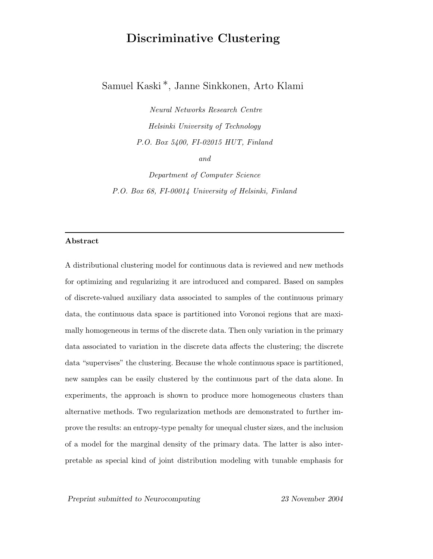# Discriminative Clustering

Samuel Kaski ∗, Janne Sinkkonen, Arto Klami

Neural Networks Research Centre Helsinki University of Technology P.O. Box 5400, FI-02015 HUT, Finland and

Department of Computer Science P.O. Box 68, FI-00014 University of Helsinki, Finland

## Abstract

A distributional clustering model for continuous data is reviewed and new methods for optimizing and regularizing it are introduced and compared. Based on samples of discrete-valued auxiliary data associated to samples of the continuous primary data, the continuous data space is partitioned into Voronoi regions that are maximally homogeneous in terms of the discrete data. Then only variation in the primary data associated to variation in the discrete data affects the clustering; the discrete data "supervises" the clustering. Because the whole continuous space is partitioned, new samples can be easily clustered by the continuous part of the data alone. In experiments, the approach is shown to produce more homogeneous clusters than alternative methods. Two regularization methods are demonstrated to further improve the results: an entropy-type penalty for unequal cluster sizes, and the inclusion of a model for the marginal density of the primary data. The latter is also interpretable as special kind of joint distribution modeling with tunable emphasis for

Preprint submitted to Neurocomputing 23 November 2004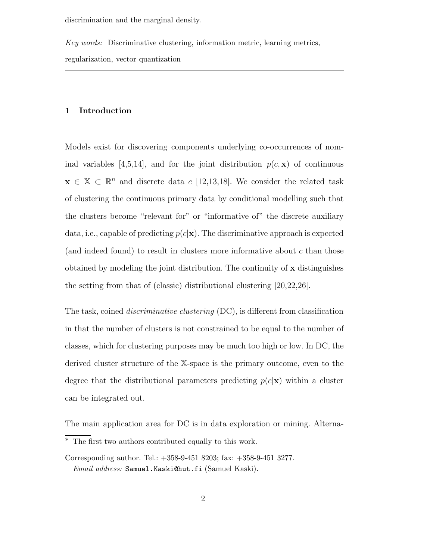discrimination and the marginal density.

Key words: Discriminative clustering, information metric, learning metrics, regularization, vector quantization

# 1 Introduction

Models exist for discovering components underlying co-occurrences of nominal variables [4,5,14], and for the joint distribution  $p(c, x)$  of continuous  $\mathbf{x} \in \mathbb{X} \subset \mathbb{R}^n$  and discrete data c [12,13,18]. We consider the related task of clustering the continuous primary data by conditional modelling such that the clusters become "relevant for" or "informative of" the discrete auxiliary data, i.e., capable of predicting  $p(c|\mathbf{x})$ . The discriminative approach is expected (and indeed found) to result in clusters more informative about c than those obtained by modeling the joint distribution. The continuity of  $x$  distinguishes the setting from that of (classic) distributional clustering [20,22,26].

The task, coined discriminative clustering (DC), is different from classification in that the number of clusters is not constrained to be equal to the number of classes, which for clustering purposes may be much too high or low. In DC, the derived cluster structure of the X-space is the primary outcome, even to the degree that the distributional parameters predicting  $p(c|\mathbf{x})$  within a cluster can be integrated out.

The main application area for DC is in data exploration or mining. Alterna-

<sup>∗</sup> The first two authors contributed equally to this work.

Corresponding author. Tel.: +358-9-451 8203; fax: +358-9-451 3277. Email address: Samuel.Kaski@hut.fi (Samuel Kaski).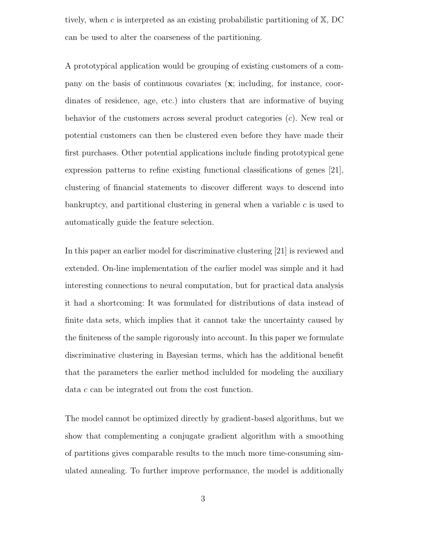tively, when c is interpreted as an existing probabilistic partitioning of  $X$ , DC can be used to alter the coarseness of the partitioning.

A prototypical application would be grouping of existing customers of a company on the basis of continuous covariates  $(x;$  including, for instance, coordinates of residence, age, etc.) into clusters that are informative of buying behavior of the customers across several product categories  $(c)$ . New real or potential customers can then be clustered even before they have made their first purchases. Other potential applications include finding prototypical gene expression patterns to refine existing functional classifications of genes [21], clustering of financial statements to discover different ways to descend into bankruptcy, and partitional clustering in general when a variable  $c$  is used to automatically guide the feature selection.

In this paper an earlier model for discriminative clustering [21] is reviewed and extended. On-line implementation of the earlier model was simple and it had interesting connections to neural computation, but for practical data analysis it had a shortcoming: It was formulated for distributions of data instead of finite data sets, which implies that it cannot take the uncertainty caused by the finiteness of the sample rigorously into account. In this paper we formulate discriminative clustering in Bayesian terms, which has the additional benefit that the parameters the earlier method inclulded for modeling the auxiliary data c can be integrated out from the cost function.

The model cannot be optimized directly by gradient-based algorithms, but we show that complementing a conjugate gradient algorithm with a smoothing of partitions gives comparable results to the much more time-consuming simulated annealing. To further improve performance, the model is additionally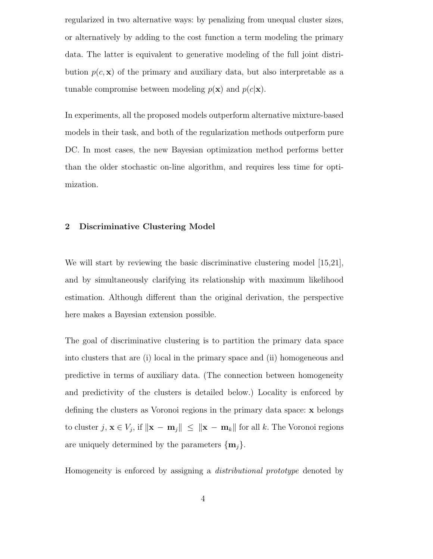regularized in two alternative ways: by penalizing from unequal cluster sizes, or alternatively by adding to the cost function a term modeling the primary data. The latter is equivalent to generative modeling of the full joint distribution  $p(c, \mathbf{x})$  of the primary and auxiliary data, but also interpretable as a tunable compromise between modeling  $p(\mathbf{x})$  and  $p(c|\mathbf{x})$ .

In experiments, all the proposed models outperform alternative mixture-based models in their task, and both of the regularization methods outperform pure DC. In most cases, the new Bayesian optimization method performs better than the older stochastic on-line algorithm, and requires less time for optimization.

# 2 Discriminative Clustering Model

We will start by reviewing the basic discriminative clustering model [15,21], and by simultaneously clarifying its relationship with maximum likelihood estimation. Although different than the original derivation, the perspective here makes a Bayesian extension possible.

The goal of discriminative clustering is to partition the primary data space into clusters that are (i) local in the primary space and (ii) homogeneous and predictive in terms of auxiliary data. (The connection between homogeneity and predictivity of the clusters is detailed below.) Locality is enforced by defining the clusters as Voronoi regions in the primary data space: x belongs to cluster  $j, \mathbf{x} \in V_j$ , if  $\|\mathbf{x} - \mathbf{m}_j\| \leq \|\mathbf{x} - \mathbf{m}_k\|$  for all k. The Voronoi regions are uniquely determined by the parameters  $\{\mathbf{m}_j\}$ .

Homogeneity is enforced by assigning a distributional prototype denoted by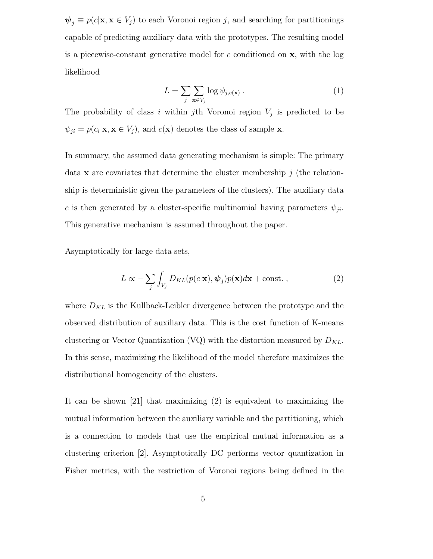$\psi_j \equiv p(c|\mathbf{x}, \mathbf{x} \in V_j)$  to each Voronoi region j, and searching for partitionings capable of predicting auxiliary data with the prototypes. The resulting model is a piecewise-constant generative model for  $c$  conditioned on  $x$ , with the log likelihood

$$
L = \sum_{j} \sum_{\mathbf{x} \in V_j} \log \psi_{j,c(\mathbf{x})} . \tag{1}
$$

The probability of class i within jth Voronoi region  $V_j$  is predicted to be  $\psi_{ji} = p(c_i|\mathbf{x}, \mathbf{x} \in V_j)$ , and  $c(\mathbf{x})$  denotes the class of sample **x**.

In summary, the assumed data generating mechanism is simple: The primary data **x** are covariates that determine the cluster membership  $j$  (the relationship is deterministic given the parameters of the clusters). The auxiliary data c is then generated by a cluster-specific multinomial having parameters  $\psi_{ji}$ . This generative mechanism is assumed throughout the paper.

Asymptotically for large data sets,

$$
L \propto -\sum_{j} \int_{V_j} D_{KL}(p(c|\mathbf{x}), \boldsymbol{\psi}_j) p(\mathbf{x}) d\mathbf{x} + \text{const.} ,
$$
 (2)

where  $D_{KL}$  is the Kullback-Leibler divergence between the prototype and the observed distribution of auxiliary data. This is the cost function of K-means clustering or Vector Quantization (VQ) with the distortion measured by  $D_{KL}$ . In this sense, maximizing the likelihood of the model therefore maximizes the distributional homogeneity of the clusters.

It can be shown [21] that maximizing (2) is equivalent to maximizing the mutual information between the auxiliary variable and the partitioning, which is a connection to models that use the empirical mutual information as a clustering criterion [2]. Asymptotically DC performs vector quantization in Fisher metrics, with the restriction of Voronoi regions being defined in the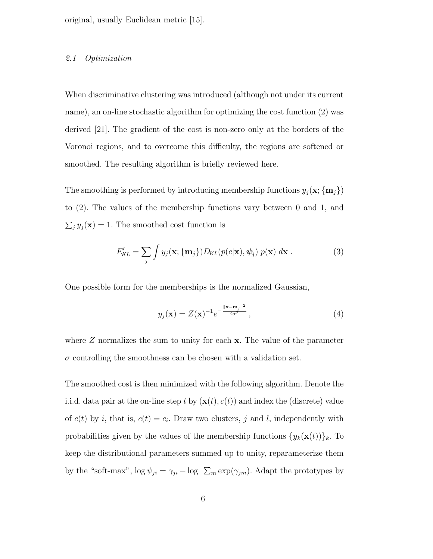original, usually Euclidean metric [15].

#### 2.1 Optimization

When discriminative clustering was introduced (although not under its current name), an on-line stochastic algorithm for optimizing the cost function (2) was derived [21]. The gradient of the cost is non-zero only at the borders of the Voronoi regions, and to overcome this difficulty, the regions are softened or smoothed. The resulting algorithm is briefly reviewed here.

The smoothing is performed by introducing membership functions  $y_j(\mathbf{x}; {\mathbf{m}_j})$ to (2). The values of the membership functions vary between 0 and 1, and  $\sum_j y_j(\mathbf{x}) = 1$ . The smoothed cost function is

$$
E'_{KL} = \sum_{j} \int y_j(\mathbf{x}; \{\mathbf{m}_j\}) D_{KL}(p(c|\mathbf{x}), \psi_j) p(\mathbf{x}) d\mathbf{x}.
$$
 (3)

One possible form for the memberships is the normalized Gaussian,

$$
y_j(\mathbf{x}) = Z(\mathbf{x})^{-1} e^{-\frac{\|\mathbf{x} - \mathbf{m}_j\|^2}{2\sigma^2}},
$$
\n(4)

where  $Z$  normalizes the sum to unity for each  $x$ . The value of the parameter  $\sigma$  controlling the smoothness can be chosen with a validation set.

The smoothed cost is then minimized with the following algorithm. Denote the i.i.d. data pair at the on-line step t by  $(\mathbf{x}(t), c(t))$  and index the (discrete) value of  $c(t)$  by i, that is,  $c(t) = c_i$ . Draw two clusters, j and l, independently with probabilities given by the values of the membership functions  $\{y_k(\mathbf{x}(t))\}_k$ . To keep the distributional parameters summed up to unity, reparameterize them by the "soft-max",  $\log \psi_{ji} = \gamma_{ji} - \log \Sigma_m \exp(\gamma_{jm})$ . Adapt the prototypes by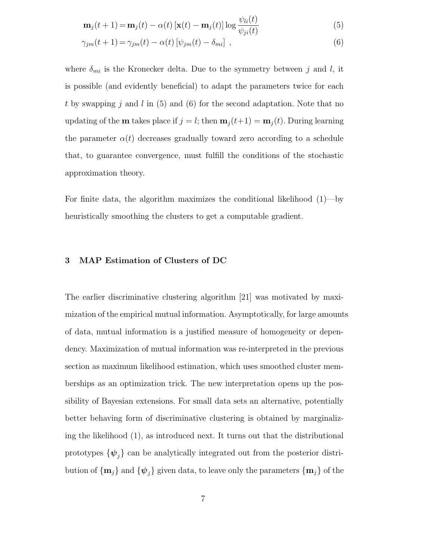$$
\mathbf{m}_j(t+1) = \mathbf{m}_j(t) - \alpha(t) \left[ \mathbf{x}(t) - \mathbf{m}_j(t) \right] \log \frac{\psi_{li}(t)}{\psi_{ji}(t)}
$$
(5)

$$
\gamma_{jm}(t+1) = \gamma_{jm}(t) - \alpha(t) \left[ \psi_{jm}(t) - \delta_{mi} \right] , \qquad (6)
$$

where  $\delta_{mi}$  is the Kronecker delta. Due to the symmetry between j and l, it is possible (and evidently beneficial) to adapt the parameters twice for each t by swapping j and l in  $(5)$  and  $(6)$  for the second adaptation. Note that no updating of the **m** takes place if  $j = l$ ; then  $\mathbf{m}_j(t+1) = \mathbf{m}_j(t)$ . During learning the parameter  $\alpha(t)$  decreases gradually toward zero according to a schedule that, to guarantee convergence, must fulfill the conditions of the stochastic approximation theory.

For finite data, the algorithm maximizes the conditional likelihood (1)—by heuristically smoothing the clusters to get a computable gradient.

# 3 MAP Estimation of Clusters of DC

The earlier discriminative clustering algorithm [21] was motivated by maximization of the empirical mutual information. Asymptotically, for large amounts of data, mutual information is a justified measure of homogeneity or dependency. Maximization of mutual information was re-interpreted in the previous section as maximum likelihood estimation, which uses smoothed cluster memberships as an optimization trick. The new interpretation opens up the possibility of Bayesian extensions. For small data sets an alternative, potentially better behaving form of discriminative clustering is obtained by marginalizing the likelihood (1), as introduced next. It turns out that the distributional prototypes  $\{\psi_j\}$  can be analytically integrated out from the posterior distribution of  $\{\mathbf{m}_j\}$  and  $\{\psi_j\}$  given data, to leave only the parameters  $\{\mathbf{m}_j\}$  of the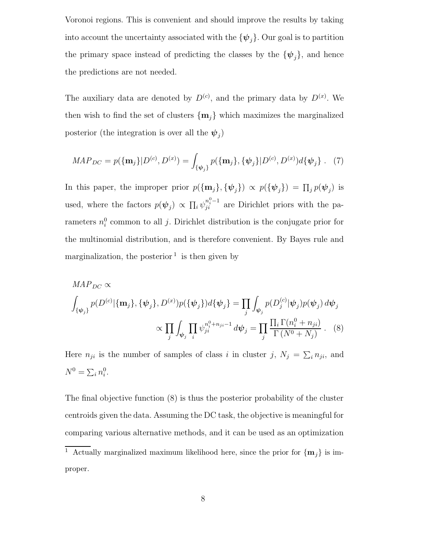Voronoi regions. This is convenient and should improve the results by taking into account the uncertainty associated with the  ${\psi_i}$ . Our goal is to partition the primary space instead of predicting the classes by the  $\{\psi_j\}$ , and hence the predictions are not needed.

The auxiliary data are denoted by  $D^{(c)}$ , and the primary data by  $D^{(x)}$ . We then wish to find the set of clusters  $\{m_i\}$  which maximizes the marginalized posterior (the integration is over all the  $\psi_j$ )

$$
MAP_{DC} = p(\{\mathbf{m}_j\}|D^{(c)}, D^{(x)}) = \int_{\{\psi_j\}} p(\{\mathbf{m}_j\}, \{\psi_j\}|D^{(c)}, D^{(x)})d\{\psi_j\} . \tag{7}
$$

In this paper, the improper prior  $p(\{\mathbf{m}_j\}, \{\psi_j\}) \propto p(\{\psi_j\}) = \prod_j p(\psi_j)$  is used, where the factors  $p(\psi_j) \propto \prod_i \psi_{ji}^{n_i^0-1}$  are Dirichlet priors with the parameters  $n_i^0$  common to all j. Dirichlet distribution is the conjugate prior for the multinomial distribution, and is therefore convenient. By Bayes rule and marginalization, the posterior  $\frac{1}{1}$  is then given by

$$
MAP_{DC} \propto
$$
\n
$$
\int_{\{\psi_j\}} p(D^{(c)}|\{\mathbf{m}_j\}, \{\psi_j\}, D^{(x)}) p(\{\psi_j\}) d\{\psi_j\} = \prod_j \int_{\psi_j} p(D_j^{(c)}|\psi_j) p(\psi_j) d\psi_j
$$
\n
$$
\propto \prod_j \int_{\psi_j} \prod_i \psi_{ji}^{n_i^0 + n_{ji} - 1} d\psi_j = \prod_j \frac{\prod_i \Gamma(n_i^0 + n_{ji})}{\Gamma(N^0 + N_j)}.
$$
\n(8)

Here  $n_{ji}$  is the number of samples of class i in cluster j,  $N_j = \sum_i n_{ji}$ , and  $N^0 = \sum_i n_i^0$ .

The final objective function (8) is thus the posterior probability of the cluster centroids given the data. Assuming the DC task, the objective is meaningful for comparing various alternative methods, and it can be used as an optimization

<sup>&</sup>lt;sup>1</sup> Actually marginalized maximum likelihood here, since the prior for  $\{\mathbf{m}_j\}$  is improper.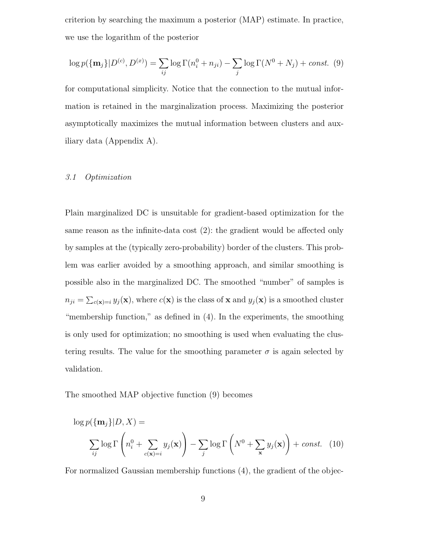criterion by searching the maximum a posterior (MAP) estimate. In practice, we use the logarithm of the posterior

$$
\log p(\{\mathbf{m}_j\}|D^{(c)}, D^{(x)}) = \sum_{ij} \log \Gamma(n_i^0 + n_{ji}) - \sum_j \log \Gamma(N^0 + N_j) + const. (9)
$$

for computational simplicity. Notice that the connection to the mutual information is retained in the marginalization process. Maximizing the posterior asymptotically maximizes the mutual information between clusters and auxiliary data (Appendix A).

#### 3.1 Optimization

Plain marginalized DC is unsuitable for gradient-based optimization for the same reason as the infinite-data cost (2): the gradient would be affected only by samples at the (typically zero-probability) border of the clusters. This problem was earlier avoided by a smoothing approach, and similar smoothing is possible also in the marginalized DC. The smoothed "number" of samples is  $n_{ji} = \sum_{c(\mathbf{x})=i} y_j(\mathbf{x})$ , where  $c(\mathbf{x})$  is the class of **x** and  $y_j(\mathbf{x})$  is a smoothed cluster "membership function," as defined in (4). In the experiments, the smoothing is only used for optimization; no smoothing is used when evaluating the clustering results. The value for the smoothing parameter  $\sigma$  is again selected by validation.

The smoothed MAP objective function (9) becomes

$$
\log p(\{\mathbf{m}_j\}|D, X) =
$$

$$
\sum_{ij} \log \Gamma\left(n_i^0 + \sum_{c(\mathbf{x})=i} y_j(\mathbf{x})\right) - \sum_j \log \Gamma\left(N^0 + \sum_{\mathbf{x}} y_j(\mathbf{x})\right) + const. \quad (10)
$$

For normalized Gaussian membership functions (4), the gradient of the objec-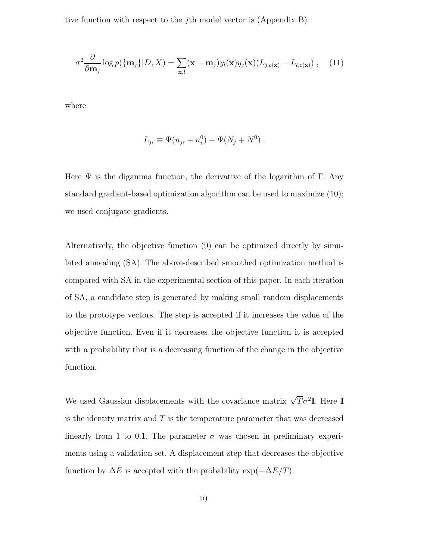tive function with respect to the jth model vector is (Appendix B)

$$
\sigma^2 \frac{\partial}{\partial \mathbf{m}_j} \log p(\{\mathbf{m}_j\} | D, X) = \sum_{\mathbf{x}, l} (\mathbf{x} - \mathbf{m}_j) y_l(\mathbf{x}) y_j(\mathbf{x}) (L_{j, c(\mathbf{x})} - L_{l, c(\mathbf{x})}), \quad (11)
$$

where

$$
L_{ji} \equiv \Psi(n_{ji} + n_i^0) - \Psi(N_j + N^0) .
$$

Here  $\Psi$  is the digamma function, the derivative of the logarithm of Γ. Any standard gradient-based optimization algorithm can be used to maximize (10); we used conjugate gradients.

Alternatively, the objective function (9) can be optimized directly by simulated annealing (SA). The above-described smoothed optimization method is compared with SA in the experimental section of this paper. In each iteration of SA, a candidate step is generated by making small random displacements to the prototype vectors. The step is accepted if it increases the value of the objective function. Even if it decreases the objective function it is accepted with a probability that is a decreasing function of the change in the objective function.

We used Gaussian displacements with the covariance matrix  $\sqrt{T}\sigma^2 I$ . Here I is the identity matrix and  $T$  is the temperature parameter that was decreased linearly from 1 to 0.1. The parameter  $\sigma$  was chosen in preliminary experiments using a validation set. A displacement step that decreases the objective function by  $\Delta E$  is accepted with the probability  $\exp(-\Delta E/T)$ .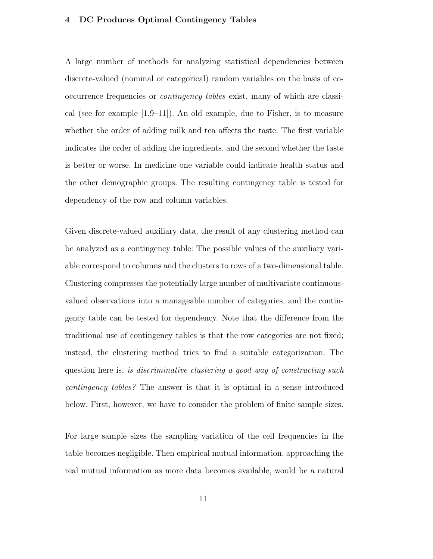## 4 DC Produces Optimal Contingency Tables

A large number of methods for analyzing statistical dependencies between discrete-valued (nominal or categorical) random variables on the basis of cooccurrence frequencies or contingency tables exist, many of which are classical (see for example  $[1,9–11]$ ). An old example, due to Fisher, is to measure whether the order of adding milk and tea affects the taste. The first variable indicates the order of adding the ingredients, and the second whether the taste is better or worse. In medicine one variable could indicate health status and the other demographic groups. The resulting contingency table is tested for dependency of the row and column variables.

Given discrete-valued auxiliary data, the result of any clustering method can be analyzed as a contingency table: The possible values of the auxiliary variable correspond to columns and the clusters to rows of a two-dimensional table. Clustering compresses the potentially large number of multivariate continuousvalued observations into a manageable number of categories, and the contingency table can be tested for dependency. Note that the difference from the traditional use of contingency tables is that the row categories are not fixed; instead, the clustering method tries to find a suitable categorization. The question here is, is discriminative clustering a good way of constructing such contingency tables? The answer is that it is optimal in a sense introduced below. First, however, we have to consider the problem of finite sample sizes.

For large sample sizes the sampling variation of the cell frequencies in the table becomes negligible. Then empirical mutual information, approaching the real mutual information as more data becomes available, would be a natural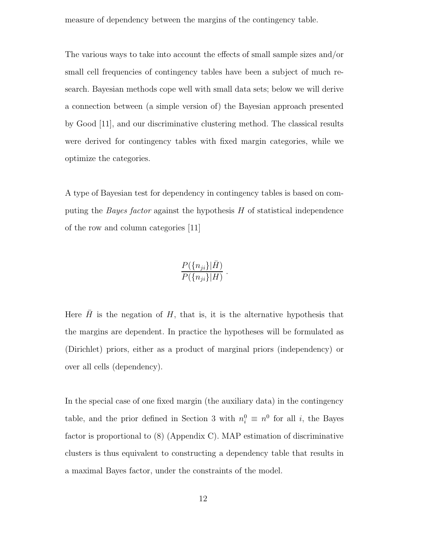measure of dependency between the margins of the contingency table.

The various ways to take into account the effects of small sample sizes and/or small cell frequencies of contingency tables have been a subject of much research. Bayesian methods cope well with small data sets; below we will derive a connection between (a simple version of) the Bayesian approach presented by Good [11], and our discriminative clustering method. The classical results were derived for contingency tables with fixed margin categories, while we optimize the categories.

A type of Bayesian test for dependency in contingency tables is based on computing the *Bayes factor* against the hypothesis  $H$  of statistical independence of the row and column categories [11]

$$
\frac{P(\{n_{ji}\}|\bar{H})}{P(\{n_{ji}\}|H)}.
$$

Here  $\bar{H}$  is the negation of H, that is, it is the alternative hypothesis that the margins are dependent. In practice the hypotheses will be formulated as (Dirichlet) priors, either as a product of marginal priors (independency) or over all cells (dependency).

In the special case of one fixed margin (the auxiliary data) in the contingency table, and the prior defined in Section 3 with  $n_i^0 \equiv n^0$  for all *i*, the Bayes factor is proportional to (8) (Appendix C). MAP estimation of discriminative clusters is thus equivalent to constructing a dependency table that results in a maximal Bayes factor, under the constraints of the model.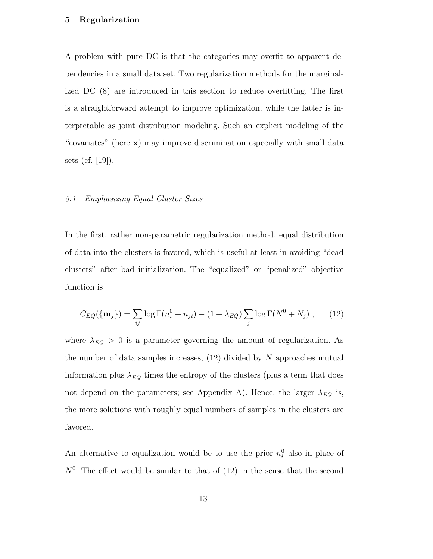## 5 Regularization

A problem with pure DC is that the categories may overfit to apparent dependencies in a small data set. Two regularization methods for the marginalized DC (8) are introduced in this section to reduce overfitting. The first is a straightforward attempt to improve optimization, while the latter is interpretable as joint distribution modeling. Such an explicit modeling of the "covariates" (here x) may improve discrimination especially with small data sets (cf. [19]).

## 5.1 Emphasizing Equal Cluster Sizes

In the first, rather non-parametric regularization method, equal distribution of data into the clusters is favored, which is useful at least in avoiding "dead clusters" after bad initialization. The "equalized" or "penalized" objective function is

$$
C_{EQ}(\{\mathbf{m}_j\}) = \sum_{ij} \log \Gamma(n_i^0 + n_{ji}) - (1 + \lambda_{EQ}) \sum_j \log \Gamma(N^0 + N_j) ,\qquad(12)
$$

where  $\lambda_{EQ} > 0$  is a parameter governing the amount of regularization. As the number of data samples increases,  $(12)$  divided by N approaches mutual information plus  $\lambda_{EQ}$  times the entropy of the clusters (plus a term that does not depend on the parameters; see Appendix A). Hence, the larger  $\lambda_{EQ}$  is, the more solutions with roughly equal numbers of samples in the clusters are favored.

An alternative to equalization would be to use the prior  $n_i^0$  also in place of  $N<sup>0</sup>$ . The effect would be similar to that of  $(12)$  in the sense that the second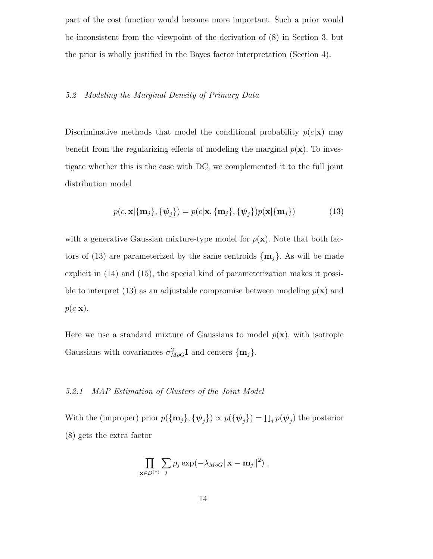part of the cost function would become more important. Such a prior would be inconsistent from the viewpoint of the derivation of (8) in Section 3, but the prior is wholly justified in the Bayes factor interpretation (Section 4).

## 5.2 Modeling the Marginal Density of Primary Data

Discriminative methods that model the conditional probability  $p(c|\mathbf{x})$  may benefit from the regularizing effects of modeling the marginal  $p(x)$ . To investigate whether this is the case with DC, we complemented it to the full joint distribution model

$$
p(c, \mathbf{x}|\{\mathbf{m}_j\}, \{\psi_j\}) = p(c|\mathbf{x}, \{\mathbf{m}_j\}, \{\psi_j\})p(\mathbf{x}|\{\mathbf{m}_j\})
$$
(13)

with a generative Gaussian mixture-type model for  $p(x)$ . Note that both factors of (13) are parameterized by the same centroids  $\{\mathbf{m}_i\}$ . As will be made explicit in (14) and (15), the special kind of parameterization makes it possible to interpret (13) as an adjustable compromise between modeling  $p(x)$  and  $p(c|\mathbf{x}).$ 

Here we use a standard mixture of Gaussians to model  $p(\mathbf{x})$ , with isotropic Gaussians with covariances  $\sigma_{Mod}^2 \mathbf{I}$  and centers  $\{\mathbf{m}_j\}$ .

# 5.2.1 MAP Estimation of Clusters of the Joint Model

With the (improper) prior  $p(\{\mathbf{m}_j\}, \{\psi_j\}) \propto p(\{\psi_j\}) = \prod_j p(\psi_j)$  the posterior (8) gets the extra factor

$$
\prod_{\mathbf{x}\in D^{(x)}} \sum_j \rho_j \exp(-\lambda_{Mod} ||\mathbf{x}-\mathbf{m}_j||^2) ,
$$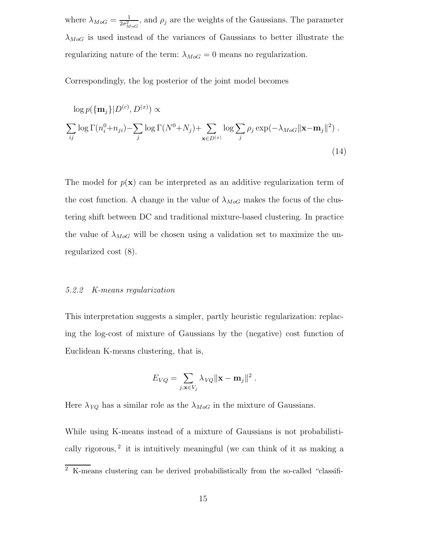where  $\lambda_{MoG} = \frac{1}{2\sigma^2}$  $\frac{1}{2\sigma_{Mod}^2}$ , and  $\rho_j$  are the weights of the Gaussians. The parameter  $\lambda_{MoG}$  is used instead of the variances of Gaussians to better illustrate the regularizing nature of the term:  $\lambda_{MoG} = 0$  means no regularization.

Correspondingly, the log posterior of the joint model becomes

$$
\log p(\{\mathbf{m}_j\}|D^{(c)}, D^{(x)}) \propto
$$
  

$$
\sum_{ij} \log \Gamma(n_i^0 + n_{ji}) - \sum_j \log \Gamma(N^0 + N_j) + \sum_{\mathbf{x} \in D^{(x)}} \log \sum_j \rho_j \exp(-\lambda_{MoG} ||\mathbf{x} - \mathbf{m}_j||^2).
$$
 (14)

The model for  $p(x)$  can be interpreted as an additive regularization term of the cost function. A change in the value of  $\lambda_{Mod}$  makes the focus of the clustering shift between DC and traditional mixture-based clustering. In practice the value of  $\lambda_{Mod}$  will be chosen using a validation set to maximize the unregularized cost (8).

#### 5.2.2 K-means regularization

This interpretation suggests a simpler, partly heuristic regularization: replacing the log-cost of mixture of Gaussians by the (negative) cost function of Euclidean K-means clustering, that is,

$$
E_{VQ} = \sum_{j; \mathbf{x} \in V_j} \lambda_{VQ} ||\mathbf{x} - \mathbf{m}_j||^2.
$$

Here  $\lambda_{VQ}$  has a similar role as the  $\lambda_{MoG}$  in the mixture of Gaussians.

While using K-means instead of a mixture of Gaussians is not probabilistically rigorous,<sup>2</sup> it is intuitively meaningful (we can think of it as making a

 $\overline{2\text{ K-means} }$  clustering can be derived probabilistically from the so-called "classifi-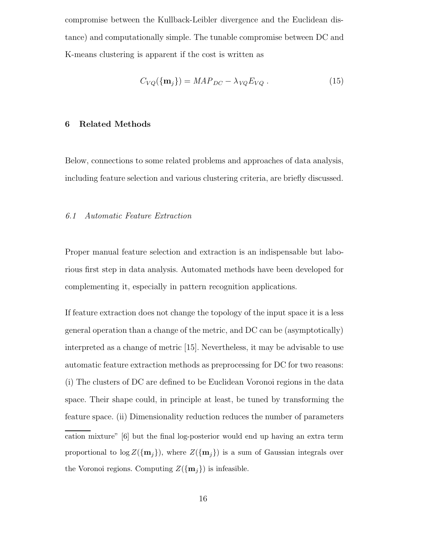compromise between the Kullback-Leibler divergence and the Euclidean distance) and computationally simple. The tunable compromise between DC and K-means clustering is apparent if the cost is written as

$$
C_{VQ}(\{\mathbf{m}_j\}) = MAP_{DC} - \lambda_{VQ} E_{VQ} . \qquad (15)
$$

#### 6 Related Methods

Below, connections to some related problems and approaches of data analysis, including feature selection and various clustering criteria, are briefly discussed.

## 6.1 Automatic Feature Extraction

Proper manual feature selection and extraction is an indispensable but laborious first step in data analysis. Automated methods have been developed for complementing it, especially in pattern recognition applications.

If feature extraction does not change the topology of the input space it is a less general operation than a change of the metric, and DC can be (asymptotically) interpreted as a change of metric [15]. Nevertheless, it may be advisable to use automatic feature extraction methods as preprocessing for DC for two reasons: (i) The clusters of DC are defined to be Euclidean Voronoi regions in the data space. Their shape could, in principle at least, be tuned by transforming the feature space. (ii) Dimensionality reduction reduces the number of parameters cation mixture" [6] but the final log-posterior would end up having an extra term proportional to  $\log Z(\{m_j\})$ , where  $Z(\{m_j\})$  is a sum of Gaussian integrals over the Voronoi regions. Computing  $Z(\{\mathbf{m}_j\})$  is infeasible.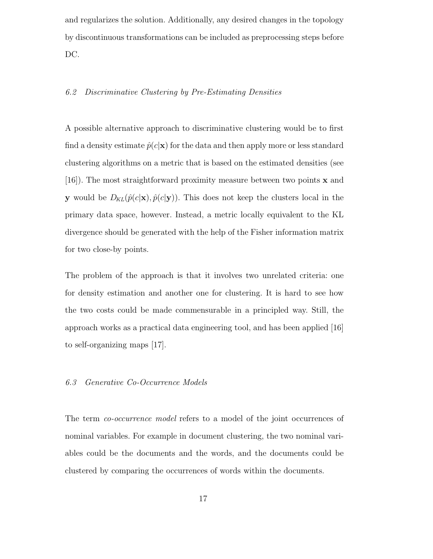and regularizes the solution. Additionally, any desired changes in the topology by discontinuous transformations can be included as preprocessing steps before DC.

## 6.2 Discriminative Clustering by Pre-Estimating Densities

A possible alternative approach to discriminative clustering would be to first find a density estimate  $\hat{p}(c|\mathbf{x})$  for the data and then apply more or less standard clustering algorithms on a metric that is based on the estimated densities (see [16]). The most straightforward proximity measure between two points x and **y** would be  $D_{KL}(\hat{p}(c|\mathbf{x}), \hat{p}(c|\mathbf{y}))$ . This does not keep the clusters local in the primary data space, however. Instead, a metric locally equivalent to the KL divergence should be generated with the help of the Fisher information matrix for two close-by points.

The problem of the approach is that it involves two unrelated criteria: one for density estimation and another one for clustering. It is hard to see how the two costs could be made commensurable in a principled way. Still, the approach works as a practical data engineering tool, and has been applied [16] to self-organizing maps [17].

## 6.3 Generative Co-Occurrence Models

The term co-occurrence model refers to a model of the joint occurrences of nominal variables. For example in document clustering, the two nominal variables could be the documents and the words, and the documents could be clustered by comparing the occurrences of words within the documents.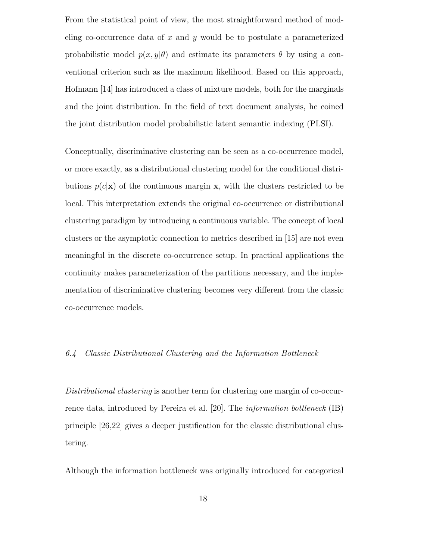From the statistical point of view, the most straightforward method of modeling co-occurrence data of x and y would be to postulate a parameterized probabilistic model  $p(x, y | \theta)$  and estimate its parameters  $\theta$  by using a conventional criterion such as the maximum likelihood. Based on this approach, Hofmann [14] has introduced a class of mixture models, both for the marginals and the joint distribution. In the field of text document analysis, he coined the joint distribution model probabilistic latent semantic indexing (PLSI).

Conceptually, discriminative clustering can be seen as a co-occurrence model, or more exactly, as a distributional clustering model for the conditional distributions  $p(c|\mathbf{x})$  of the continuous margin **x**, with the clusters restricted to be local. This interpretation extends the original co-occurrence or distributional clustering paradigm by introducing a continuous variable. The concept of local clusters or the asymptotic connection to metrics described in [15] are not even meaningful in the discrete co-occurrence setup. In practical applications the continuity makes parameterization of the partitions necessary, and the implementation of discriminative clustering becomes very different from the classic co-occurrence models.

# 6.4 Classic Distributional Clustering and the Information Bottleneck

Distributional clustering is another term for clustering one margin of co-occurrence data, introduced by Pereira et al. [20]. The information bottleneck (IB) principle [26,22] gives a deeper justification for the classic distributional clustering.

Although the information bottleneck was originally introduced for categorical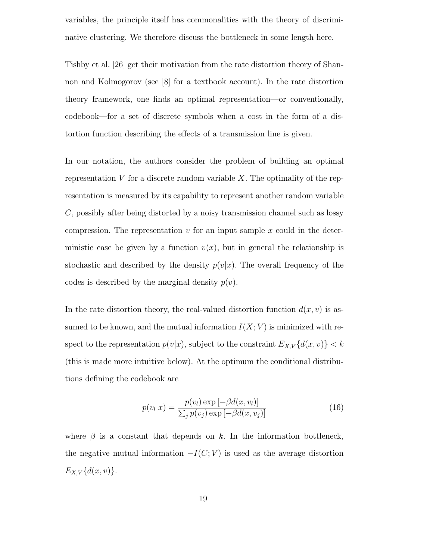variables, the principle itself has commonalities with the theory of discriminative clustering. We therefore discuss the bottleneck in some length here.

Tishby et al. [26] get their motivation from the rate distortion theory of Shannon and Kolmogorov (see [8] for a textbook account). In the rate distortion theory framework, one finds an optimal representation—or conventionally, codebook—for a set of discrete symbols when a cost in the form of a distortion function describing the effects of a transmission line is given.

In our notation, the authors consider the problem of building an optimal representation  $V$  for a discrete random variable  $X$ . The optimality of the representation is measured by its capability to represent another random variable C, possibly after being distorted by a noisy transmission channel such as lossy compression. The representation  $v$  for an input sample  $x$  could in the deterministic case be given by a function  $v(x)$ , but in general the relationship is stochastic and described by the density  $p(v|x)$ . The overall frequency of the codes is described by the marginal density  $p(v)$ .

In the rate distortion theory, the real-valued distortion function  $d(x, v)$  is assumed to be known, and the mutual information  $I(X; V)$  is minimized with respect to the representation  $p(v|x)$ , subject to the constraint  $E_{X,V}\{d(x,v)\} < k$ (this is made more intuitive below). At the optimum the conditional distributions defining the codebook are

$$
p(v_l|x) = \frac{p(v_l) \exp\left[-\beta d(x, v_l)\right]}{\sum_j p(v_j) \exp\left[-\beta d(x, v_j)\right]}
$$
(16)

where  $\beta$  is a constant that depends on k. In the information bottleneck, the negative mutual information  $-I(C; V)$  is used as the average distortion  $E_{X,V}{d(x, v)}.$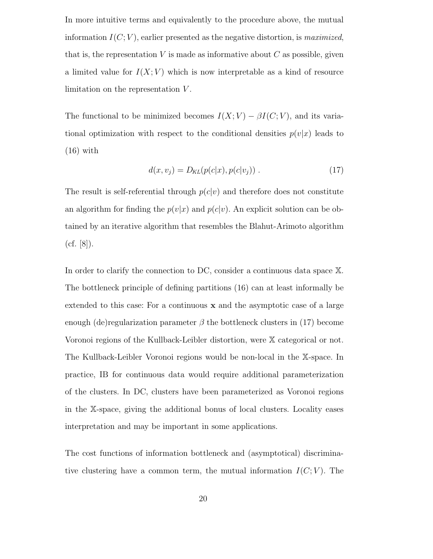In more intuitive terms and equivalently to the procedure above, the mutual information  $I(C; V)$ , earlier presented as the negative distortion, is maximized, that is, the representation  $V$  is made as informative about  $C$  as possible, given a limited value for  $I(X; V)$  which is now interpretable as a kind of resource limitation on the representation  $V$ .

The functional to be minimized becomes  $I(X; V) - \beta I(C; V)$ , and its variational optimization with respect to the conditional densities  $p(v|x)$  leads to  $(16)$  with

$$
d(x, v_j) = D_{KL}(p(c|x), p(c|v_j)) .
$$
 (17)

The result is self-referential through  $p(c|v)$  and therefore does not constitute an algorithm for finding the  $p(v|x)$  and  $p(c|v)$ . An explicit solution can be obtained by an iterative algorithm that resembles the Blahut-Arimoto algorithm  $(cf. [8])$ .

In order to clarify the connection to DC, consider a continuous data space X. The bottleneck principle of defining partitions (16) can at least informally be extended to this case: For a continuous x and the asymptotic case of a large enough (de)regularization parameter  $\beta$  the bottleneck clusters in (17) become Voronoi regions of the Kullback-Leibler distortion, were X categorical or not. The Kullback-Leibler Voronoi regions would be non-local in the X-space. In practice, IB for continuous data would require additional parameterization of the clusters. In DC, clusters have been parameterized as Voronoi regions in the X-space, giving the additional bonus of local clusters. Locality eases interpretation and may be important in some applications.

The cost functions of information bottleneck and (asymptotical) discriminative clustering have a common term, the mutual information  $I(C; V)$ . The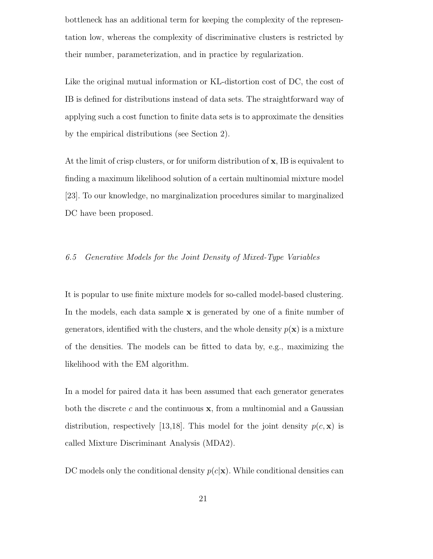bottleneck has an additional term for keeping the complexity of the representation low, whereas the complexity of discriminative clusters is restricted by their number, parameterization, and in practice by regularization.

Like the original mutual information or KL-distortion cost of DC, the cost of IB is defined for distributions instead of data sets. The straightforward way of applying such a cost function to finite data sets is to approximate the densities by the empirical distributions (see Section 2).

At the limit of crisp clusters, or for uniform distribution of  $x$ , IB is equivalent to finding a maximum likelihood solution of a certain multinomial mixture model [23]. To our knowledge, no marginalization procedures similar to marginalized DC have been proposed.

# 6.5 Generative Models for the Joint Density of Mixed-Type Variables

It is popular to use finite mixture models for so-called model-based clustering. In the models, each data sample  $x$  is generated by one of a finite number of generators, identified with the clusters, and the whole density  $p(x)$  is a mixture of the densities. The models can be fitted to data by, e.g., maximizing the likelihood with the EM algorithm.

In a model for paired data it has been assumed that each generator generates both the discrete c and the continuous  $x$ , from a multinomial and a Gaussian distribution, respectively [13,18]. This model for the joint density  $p(c, \mathbf{x})$  is called Mixture Discriminant Analysis (MDA2).

DC models only the conditional density  $p(c|x)$ . While conditional densities can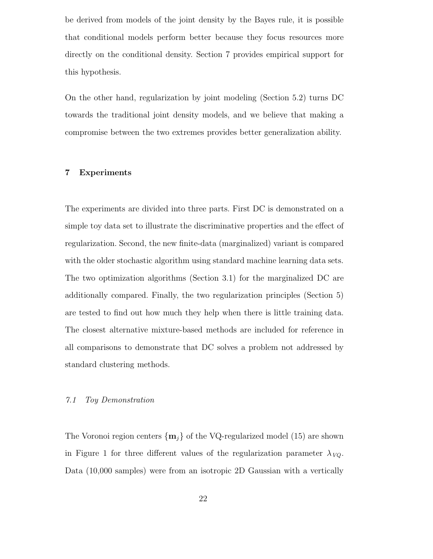be derived from models of the joint density by the Bayes rule, it is possible that conditional models perform better because they focus resources more directly on the conditional density. Section 7 provides empirical support for this hypothesis.

On the other hand, regularization by joint modeling (Section 5.2) turns DC towards the traditional joint density models, and we believe that making a compromise between the two extremes provides better generalization ability.

# 7 Experiments

The experiments are divided into three parts. First DC is demonstrated on a simple toy data set to illustrate the discriminative properties and the effect of regularization. Second, the new finite-data (marginalized) variant is compared with the older stochastic algorithm using standard machine learning data sets. The two optimization algorithms (Section 3.1) for the marginalized DC are additionally compared. Finally, the two regularization principles (Section 5) are tested to find out how much they help when there is little training data. The closest alternative mixture-based methods are included for reference in all comparisons to demonstrate that DC solves a problem not addressed by standard clustering methods.

## 7.1 Toy Demonstration

The Voronoi region centers  $\{m_j\}$  of the VQ-regularized model (15) are shown in Figure 1 for three different values of the regularization parameter  $\lambda_{VQ}$ . Data (10,000 samples) were from an isotropic 2D Gaussian with a vertically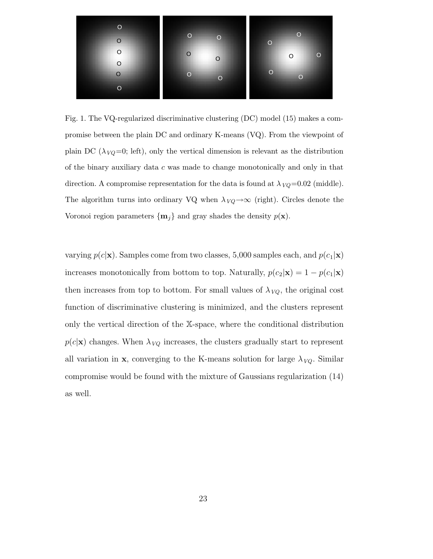

Fig. 1. The VQ-regularized discriminative clustering (DC) model (15) makes a compromise between the plain DC and ordinary K-means (VQ). From the viewpoint of plain DC ( $\lambda_{VQ}$ =0; left), only the vertical dimension is relevant as the distribution of the binary auxiliary data  $c$  was made to change monotonically and only in that direction. A compromise representation for the data is found at  $\lambda_{VQ} = 0.02$  (middle). The algorithm turns into ordinary VQ when  $\lambda_{VQ} \rightarrow \infty$  (right). Circles denote the Voronoi region parameters  $\{\mathbf{m}_j\}$  and gray shades the density  $p(\mathbf{x})$ .

varying  $p(c|\mathbf{x})$ . Samples come from two classes, 5,000 samples each, and  $p(c_1|\mathbf{x})$ increases monotonically from bottom to top. Naturally,  $p(c_2|\mathbf{x}) = 1 - p(c_1|\mathbf{x})$ then increases from top to bottom. For small values of  $\lambda_{VQ}$ , the original cost function of discriminative clustering is minimized, and the clusters represent only the vertical direction of the X-space, where the conditional distribution  $p(c|\mathbf{x})$  changes. When  $\lambda_{VQ}$  increases, the clusters gradually start to represent all variation in **x**, converging to the K-means solution for large  $\lambda_{VQ}$ . Similar compromise would be found with the mixture of Gaussians regularization (14) as well.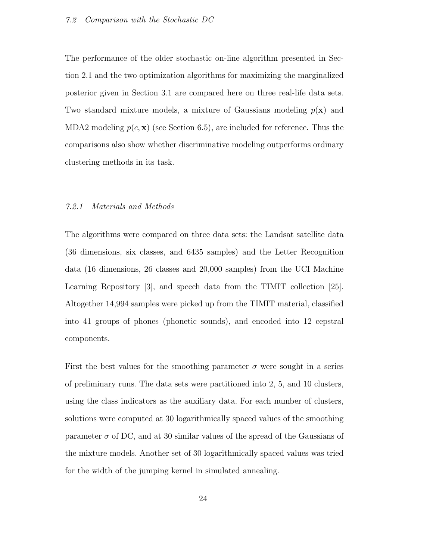The performance of the older stochastic on-line algorithm presented in Section 2.1 and the two optimization algorithms for maximizing the marginalized posterior given in Section 3.1 are compared here on three real-life data sets. Two standard mixture models, a mixture of Gaussians modeling  $p(\mathbf{x})$  and MDA2 modeling  $p(c, x)$  (see Section 6.5), are included for reference. Thus the comparisons also show whether discriminative modeling outperforms ordinary clustering methods in its task.

#### 7.2.1 Materials and Methods

The algorithms were compared on three data sets: the Landsat satellite data (36 dimensions, six classes, and 6435 samples) and the Letter Recognition data (16 dimensions, 26 classes and 20,000 samples) from the UCI Machine Learning Repository [3], and speech data from the TIMIT collection [25]. Altogether 14,994 samples were picked up from the TIMIT material, classified into 41 groups of phones (phonetic sounds), and encoded into 12 cepstral components.

First the best values for the smoothing parameter  $\sigma$  were sought in a series of preliminary runs. The data sets were partitioned into 2, 5, and 10 clusters, using the class indicators as the auxiliary data. For each number of clusters, solutions were computed at 30 logarithmically spaced values of the smoothing parameter  $\sigma$  of DC, and at 30 similar values of the spread of the Gaussians of the mixture models. Another set of 30 logarithmically spaced values was tried for the width of the jumping kernel in simulated annealing.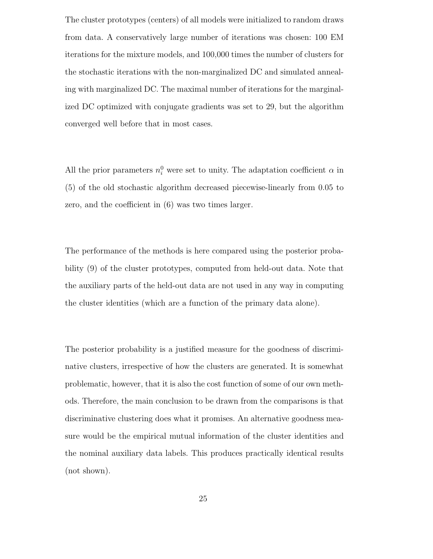The cluster prototypes (centers) of all models were initialized to random draws from data. A conservatively large number of iterations was chosen: 100 EM iterations for the mixture models, and 100,000 times the number of clusters for the stochastic iterations with the non-marginalized DC and simulated annealing with marginalized DC. The maximal number of iterations for the marginalized DC optimized with conjugate gradients was set to 29, but the algorithm converged well before that in most cases.

All the prior parameters  $n_i^0$  were set to unity. The adaptation coefficient  $\alpha$  in (5) of the old stochastic algorithm decreased piecewise-linearly from 0.05 to zero, and the coefficient in (6) was two times larger.

The performance of the methods is here compared using the posterior probability (9) of the cluster prototypes, computed from held-out data. Note that the auxiliary parts of the held-out data are not used in any way in computing the cluster identities (which are a function of the primary data alone).

The posterior probability is a justified measure for the goodness of discriminative clusters, irrespective of how the clusters are generated. It is somewhat problematic, however, that it is also the cost function of some of our own methods. Therefore, the main conclusion to be drawn from the comparisons is that discriminative clustering does what it promises. An alternative goodness measure would be the empirical mutual information of the cluster identities and the nominal auxiliary data labels. This produces practically identical results (not shown).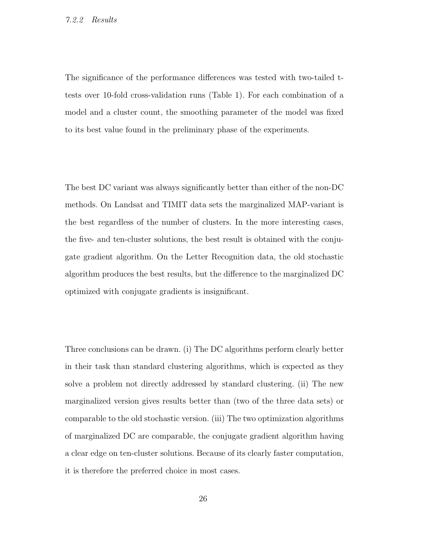## 7.2.2 Results

The significance of the performance differences was tested with two-tailed ttests over 10-fold cross-validation runs (Table 1). For each combination of a model and a cluster count, the smoothing parameter of the model was fixed to its best value found in the preliminary phase of the experiments.

The best DC variant was always significantly better than either of the non-DC methods. On Landsat and TIMIT data sets the marginalized MAP-variant is the best regardless of the number of clusters. In the more interesting cases, the five- and ten-cluster solutions, the best result is obtained with the conjugate gradient algorithm. On the Letter Recognition data, the old stochastic algorithm produces the best results, but the difference to the marginalized DC optimized with conjugate gradients is insignificant.

Three conclusions can be drawn. (i) The DC algorithms perform clearly better in their task than standard clustering algorithms, which is expected as they solve a problem not directly addressed by standard clustering. (ii) The new marginalized version gives results better than (two of the three data sets) or comparable to the old stochastic version. (iii) The two optimization algorithms of marginalized DC are comparable, the conjugate gradient algorithm having a clear edge on ten-cluster solutions. Because of its clearly faster computation, it is therefore the preferred choice in most cases.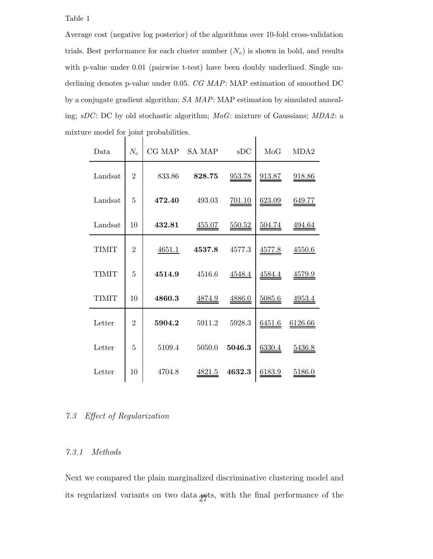## Table 1

Average cost (negative log posterior) of the algorithms over 10-fold cross-validation trials. Best performance for each cluster number  $(N_c)$  is shown in bold, and results with p-value under 0.01 (pairwise t-test) have been doubly underlined. Single underlining denotes p-value under 0.05. CG MAP: MAP estimation of smoothed DC by a conjugate gradient algorithm; SA MAP: MAP estimation by simulated annealing; sDC: DC by old stochastic algorithm; MoG: mixture of Gaussians; MDA2: a mixture model for joint probabilities.

| Data         | $N_c$          | CG MAP | <b>SA MAP</b> | sDC           | MoG           | MDA2          |
|--------------|----------------|--------|---------------|---------------|---------------|---------------|
| Landsat      | $\overline{2}$ | 833.86 | 828.75        | 953.78        | <u>913.87</u> | <u>918.86</u> |
| Landsat      | 5              | 472.40 | 493.03        | <u>701.10</u> | 623.09        | <u>649.77</u> |
| Landsat      | 10             | 432.81 | <u>455.07</u> | 550.52        | <u>504.74</u> | <u>494.64</u> |
| TIMIT        | $\overline{2}$ | 4651.1 | 4537.8        | 4577.3        | <u>4577.8</u> | 4550.6        |
| <b>TIMIT</b> | 5              | 4514.9 | 4516.6        | 4548.4        | <u>4584.4</u> | <u>4579.9</u> |
| <b>TIMIT</b> | 10             | 4860.3 | <u>4874.9</u> | 4886.0        | 5085.6        | 4953.4        |
| Letter       | $\overline{2}$ | 5904.2 | 5911.2        | 5928.3        | 6451.6        | 6126.66       |
| Letter       | 5              | 5109.4 | 5050.0        | 5046.3        | 6330.4        | 5436.8        |
| Letter       | 10             | 4704.8 | 4821.5        | 4632.3        | 6183.9        | 5186.0        |

# 7.3 Effect of Regularization

# 7.3.1 Methods

Next we compared the plain marginalized discriminative clustering model and its regularized variants on two data sets, with the final performance of the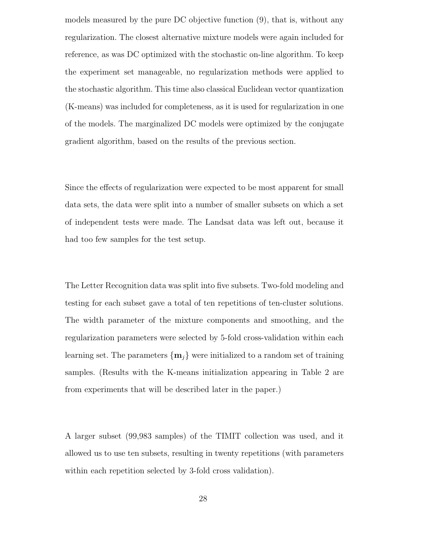models measured by the pure DC objective function (9), that is, without any regularization. The closest alternative mixture models were again included for reference, as was DC optimized with the stochastic on-line algorithm. To keep the experiment set manageable, no regularization methods were applied to the stochastic algorithm. This time also classical Euclidean vector quantization (K-means) was included for completeness, as it is used for regularization in one of the models. The marginalized DC models were optimized by the conjugate gradient algorithm, based on the results of the previous section.

Since the effects of regularization were expected to be most apparent for small data sets, the data were split into a number of smaller subsets on which a set of independent tests were made. The Landsat data was left out, because it had too few samples for the test setup.

The Letter Recognition data was split into five subsets. Two-fold modeling and testing for each subset gave a total of ten repetitions of ten-cluster solutions. The width parameter of the mixture components and smoothing, and the regularization parameters were selected by 5-fold cross-validation within each learning set. The parameters  $\{m_i\}$  were initialized to a random set of training samples. (Results with the K-means initialization appearing in Table 2 are from experiments that will be described later in the paper.)

A larger subset (99,983 samples) of the TIMIT collection was used, and it allowed us to use ten subsets, resulting in twenty repetitions (with parameters within each repetition selected by 3-fold cross validation).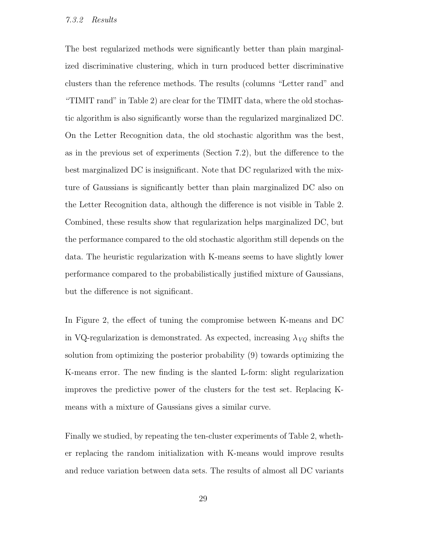## 7.3.2 Results

The best regularized methods were significantly better than plain marginalized discriminative clustering, which in turn produced better discriminative clusters than the reference methods. The results (columns "Letter rand" and "TIMIT rand" in Table 2) are clear for the TIMIT data, where the old stochastic algorithm is also significantly worse than the regularized marginalized DC. On the Letter Recognition data, the old stochastic algorithm was the best, as in the previous set of experiments (Section 7.2), but the difference to the best marginalized DC is insignificant. Note that DC regularized with the mixture of Gaussians is significantly better than plain marginalized DC also on the Letter Recognition data, although the difference is not visible in Table 2. Combined, these results show that regularization helps marginalized DC, but the performance compared to the old stochastic algorithm still depends on the data. The heuristic regularization with K-means seems to have slightly lower performance compared to the probabilistically justified mixture of Gaussians, but the difference is not significant.

In Figure 2, the effect of tuning the compromise between K-means and DC in VQ-regularization is demonstrated. As expected, increasing  $\lambda_{VQ}$  shifts the solution from optimizing the posterior probability (9) towards optimizing the K-means error. The new finding is the slanted L-form: slight regularization improves the predictive power of the clusters for the test set. Replacing Kmeans with a mixture of Gaussians gives a similar curve.

Finally we studied, by repeating the ten-cluster experiments of Table 2, whether replacing the random initialization with K-means would improve results and reduce variation between data sets. The results of almost all DC variants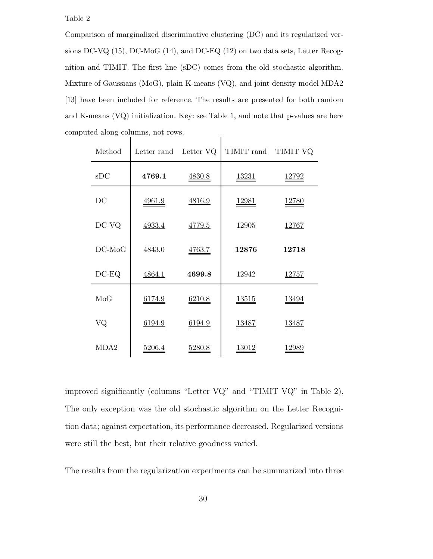Table 2

Comparison of marginalized discriminative clustering (DC) and its regularized versions DC-VQ (15), DC-MoG (14), and DC-EQ (12) on two data sets, Letter Recognition and TIMIT. The first line (sDC) comes from the old stochastic algorithm. Mixture of Gaussians (MoG), plain K-means (VQ), and joint density model MDA2 [13] have been included for reference. The results are presented for both random and K-means (VQ) initialization. Key: see Table 1, and note that p-values are here computed along columns, not rows.  $\overline{1}$ 

| Method           | Letter rand Letter VQ |               | TIMIT rand TIMIT VQ |                |
|------------------|-----------------------|---------------|---------------------|----------------|
| sDC              | 4769.1                | <u>4830.8</u> | <u> 13231</u>       | <u> 12792</u>  |
| DC               | <u>4961.9</u>         | 4816.9        | <u>12981</u>        | <u>12780</u>   |
| DC-VQ            | 4933.4                | 4779.5        | 12905               | 12767          |
| $DC-MoG$         | 4843.0                | 4763.7        | 12876               | 12718          |
| $DC-EQ$          | 4864.1                | 4699.8        | 12942               | <u> 12757 </u> |
| MoG              | $\underline{6174.9}$  | <u>6210.8</u> | <u> 13515 </u>      | <u>13494</u>   |
| VQ               | <u>6194.9</u>         | <u>6194.9</u> | <u> 13487 </u>      | <u> 13487 </u> |
| MDA <sub>2</sub> | 5206.4                | <u>5280.8</u> | <u> 13012 </u>      | <u> 12989 </u> |

improved significantly (columns "Letter VQ" and "TIMIT VQ" in Table 2). The only exception was the old stochastic algorithm on the Letter Recognition data; against expectation, its performance decreased. Regularized versions were still the best, but their relative goodness varied.

The results from the regularization experiments can be summarized into three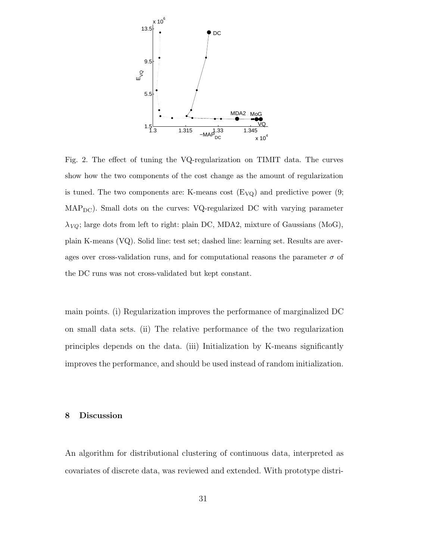

Fig. 2. The effect of tuning the VQ-regularization on TIMIT data. The curves show how the two components of the cost change as the amount of regularization is tuned. The two components are: K-means cost  $(E_{VQ})$  and predictive power  $(9;$ MAPDC). Small dots on the curves: VQ-regularized DC with varying parameter  $\lambda_{VQ}$ ; large dots from left to right: plain DC, MDA2, mixture of Gaussians (MoG), plain K-means (VQ). Solid line: test set; dashed line: learning set. Results are averages over cross-validation runs, and for computational reasons the parameter  $\sigma$  of the DC runs was not cross-validated but kept constant.

main points. (i) Regularization improves the performance of marginalized DC on small data sets. (ii) The relative performance of the two regularization principles depends on the data. (iii) Initialization by K-means significantly improves the performance, and should be used instead of random initialization.

### 8 Discussion

An algorithm for distributional clustering of continuous data, interpreted as covariates of discrete data, was reviewed and extended. With prototype distri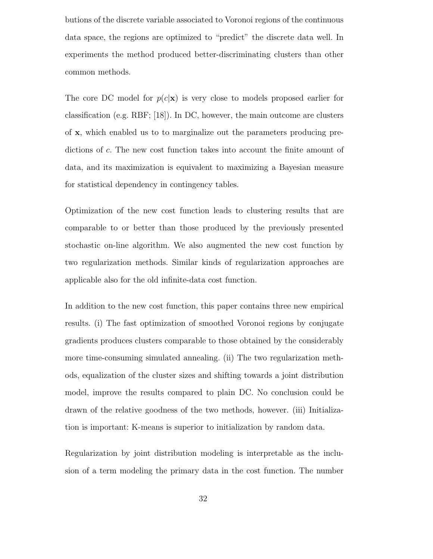butions of the discrete variable associated to Voronoi regions of the continuous data space, the regions are optimized to "predict" the discrete data well. In experiments the method produced better-discriminating clusters than other common methods.

The core DC model for  $p(c|\mathbf{x})$  is very close to models proposed earlier for classification (e.g. RBF; [18]). In DC, however, the main outcome are clusters of x, which enabled us to to marginalize out the parameters producing predictions of c. The new cost function takes into account the finite amount of data, and its maximization is equivalent to maximizing a Bayesian measure for statistical dependency in contingency tables.

Optimization of the new cost function leads to clustering results that are comparable to or better than those produced by the previously presented stochastic on-line algorithm. We also augmented the new cost function by two regularization methods. Similar kinds of regularization approaches are applicable also for the old infinite-data cost function.

In addition to the new cost function, this paper contains three new empirical results. (i) The fast optimization of smoothed Voronoi regions by conjugate gradients produces clusters comparable to those obtained by the considerably more time-consuming simulated annealing. (ii) The two regularization methods, equalization of the cluster sizes and shifting towards a joint distribution model, improve the results compared to plain DC. No conclusion could be drawn of the relative goodness of the two methods, however. (iii) Initialization is important: K-means is superior to initialization by random data.

Regularization by joint distribution modeling is interpretable as the inclusion of a term modeling the primary data in the cost function. The number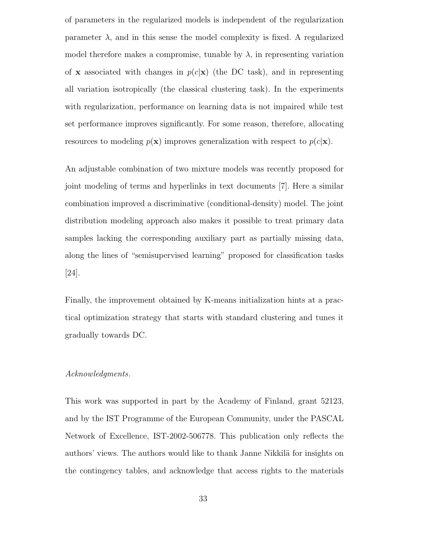of parameters in the regularized models is independent of the regularization parameter  $\lambda$ , and in this sense the model complexity is fixed. A regularized model therefore makes a compromise, tunable by  $\lambda$ , in representing variation of **x** associated with changes in  $p(c|\mathbf{x})$  (the DC task), and in representing all variation isotropically (the classical clustering task). In the experiments with regularization, performance on learning data is not impaired while test set performance improves significantly. For some reason, therefore, allocating resources to modeling  $p(x)$  improves generalization with respect to  $p(c|x)$ .

An adjustable combination of two mixture models was recently proposed for joint modeling of terms and hyperlinks in text documents [7]. Here a similar combination improved a discriminative (conditional-density) model. The joint distribution modeling approach also makes it possible to treat primary data samples lacking the corresponding auxiliary part as partially missing data, along the lines of "semisupervised learning" proposed for classification tasks [24].

Finally, the improvement obtained by K-means initialization hints at a practical optimization strategy that starts with standard clustering and tunes it gradually towards DC.

#### Acknowledgments.

This work was supported in part by the Academy of Finland, grant 52123, and by the IST Programme of the European Community, under the PASCAL Network of Excellence, IST-2002-506778. This publication only reflects the authors' views. The authors would like to thank Janne Nikkilä for insights on the contingency tables, and acknowledge that access rights to the materials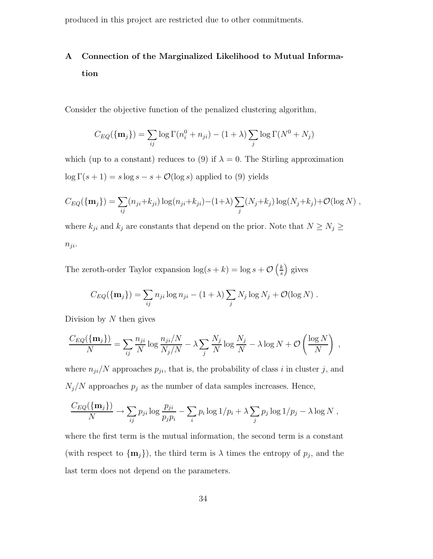produced in this project are restricted due to other commitments.

# A Connection of the Marginalized Likelihood to Mutual Information

Consider the objective function of the penalized clustering algorithm,

$$
C_{EQ}(\{\mathbf{m}_j\}) = \sum_{ij} \log \Gamma(n_i^0 + n_{ji}) - (1 + \lambda) \sum_j \log \Gamma(N^0 + N_j)
$$

which (up to a constant) reduces to (9) if  $\lambda = 0$ . The Stirling approximation  $\log \Gamma(s + 1) = s \log s - s + \mathcal{O}(\log s)$  applied to (9) yields

$$
C_{EQ}(\{\mathbf{m}_j\}) = \sum_{ij} (n_{ji} + k_{ji}) \log(n_{ji} + k_{ji}) - (1+\lambda) \sum_j (N_j + k_j) \log(N_j + k_j) + \mathcal{O}(\log N) ,
$$

where  $k_{ji}$  and  $k_j$  are constants that depend on the prior. Note that  $N \ge N_j \ge$  $n_{ji}$ .

The zeroth-order Taylor expansion  $\log(s+k) = \log s + \mathcal{O}\left(\frac{k}{s}\right)$  $\frac{k}{s}$ ) gives

$$
C_{EQ}(\{\mathbf{m}_j\}) = \sum_{ij} n_{ji} \log n_{ji} - (1+\lambda) \sum_j N_j \log N_j + \mathcal{O}(\log N).
$$

Division by  $N$  then gives

$$
\frac{C_{EQ}(\{\mathbf{m}_j\})}{N} = \sum_{ij} \frac{n_{ji}}{N} \log \frac{n_{ji}/N}{N_j/N} - \lambda \sum_j \frac{N_j}{N} \log \frac{N_j}{N} - \lambda \log N + \mathcal{O}\left(\frac{\log N}{N}\right) ,
$$

where  $n_{ji}/N$  approaches  $p_{ji}$ , that is, the probability of class i in cluster j, and  $N_j/N$  approaches  $p_j$  as the number of data samples increases. Hence,

$$
\frac{C_{EQ}(\{\mathbf{m}_j\})}{N} \to \sum_{ij} p_{ji} \log \frac{p_{ji}}{p_j p_i} - \sum_i p_i \log 1/p_i + \lambda \sum_j p_j \log 1/p_j - \lambda \log N,
$$

where the first term is the mutual information, the second term is a constant (with respect to  $\{\mathbf{m}_j\}$ ), the third term is  $\lambda$  times the entropy of  $p_j$ , and the last term does not depend on the parameters.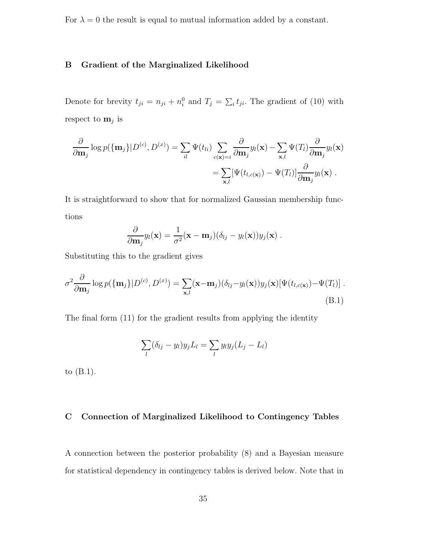For  $\lambda = 0$  the result is equal to mutual information added by a constant.

# B Gradient of the Marginalized Likelihood

Denote for brevity  $t_{ji} = n_{ji} + n_i^0$  and  $T_j = \sum_i t_{ji}$ . The gradient of (10) with respect to  $\mathbf{m}_j$  is

$$
\frac{\partial}{\partial \mathbf{m}_j} \log p(\{\mathbf{m}_j\}|D^{(c)}, D^{(x)}) = \sum_{il} \Psi(t_{li}) \sum_{c(\mathbf{x})=i} \frac{\partial}{\partial \mathbf{m}_j} y_l(\mathbf{x}) - \sum_{\mathbf{x},l} \Psi(T_l) \frac{\partial}{\partial \mathbf{m}_j} y_l(\mathbf{x}) \n= \sum_{\mathbf{x},l} [\Psi(t_{l,c(\mathbf{x})}) - \Psi(T_l)] \frac{\partial}{\partial \mathbf{m}_j} y_l(\mathbf{x}).
$$

It is straightforward to show that for normalized Gaussian membership functions

$$
\frac{\partial}{\partial \mathbf{m}_j} y_l(\mathbf{x}) = \frac{1}{\sigma^2} (\mathbf{x} - \mathbf{m}_j) (\delta_{lj} - y_l(\mathbf{x})) y_j(\mathbf{x}).
$$

Substituting this to the gradient gives

$$
\sigma^2 \frac{\partial}{\partial \mathbf{m}_j} \log p(\{\mathbf{m}_j\}|D^{(c)}, D^{(x)}) = \sum_{\mathbf{x},l} (\mathbf{x} - \mathbf{m}_j)(\delta_{lj} - y_l(\mathbf{x}))y_j(\mathbf{x})[\Psi(t_{l,c(\mathbf{x})}) - \Psi(T_l)].
$$
\n(B.1)

The final form (11) for the gradient results from applying the identity

$$
\sum_{l} (\delta_{lj} - y_l) y_j L_l = \sum_{l} y_l y_j (L_j - L_l)
$$

to (B.1).

# C Connection of Marginalized Likelihood to Contingency Tables

A connection between the posterior probability (8) and a Bayesian measure for statistical dependency in contingency tables is derived below. Note that in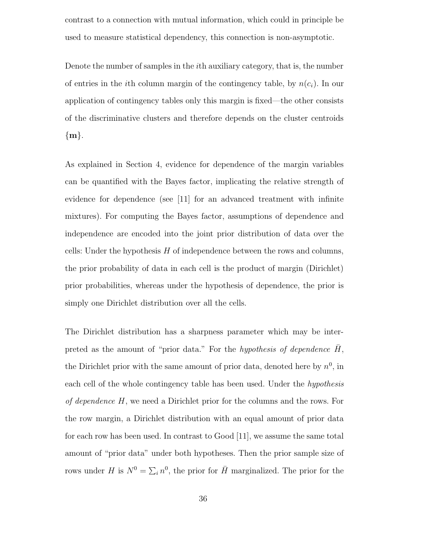contrast to a connection with mutual information, which could in principle be used to measure statistical dependency, this connection is non-asymptotic.

Denote the number of samples in the ith auxiliary category, that is, the number of entries in the *i*th column margin of the contingency table, by  $n(c_i)$ . In our application of contingency tables only this margin is fixed—the other consists of the discriminative clusters and therefore depends on the cluster centroids  ${m}.$ 

As explained in Section 4, evidence for dependence of the margin variables can be quantified with the Bayes factor, implicating the relative strength of evidence for dependence (see [11] for an advanced treatment with infinite mixtures). For computing the Bayes factor, assumptions of dependence and independence are encoded into the joint prior distribution of data over the cells: Under the hypothesis  $H$  of independence between the rows and columns, the prior probability of data in each cell is the product of margin (Dirichlet) prior probabilities, whereas under the hypothesis of dependence, the prior is simply one Dirichlet distribution over all the cells.

The Dirichlet distribution has a sharpness parameter which may be interpreted as the amount of "prior data." For the hypothesis of dependence  $\bar{H}$ , the Dirichlet prior with the same amount of prior data, denoted here by  $n^0$ , in each cell of the whole contingency table has been used. Under the *hypothesis* of dependence H, we need a Dirichlet prior for the columns and the rows. For the row margin, a Dirichlet distribution with an equal amount of prior data for each row has been used. In contrast to Good [11], we assume the same total amount of "prior data" under both hypotheses. Then the prior sample size of rows under H is  $N^0 = \sum_i n^0$ , the prior for  $\overline{H}$  marginalized. The prior for the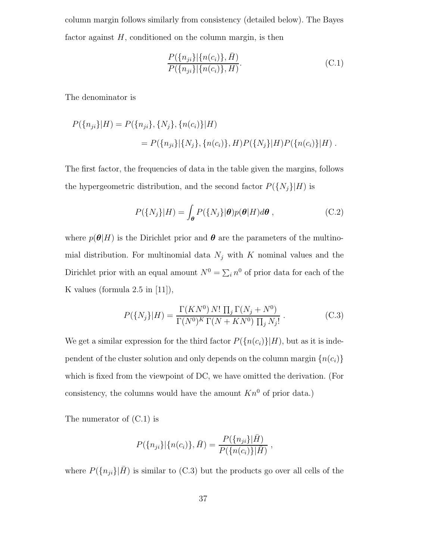column margin follows similarly from consistency (detailed below). The Bayes factor against  $H$ , conditioned on the column margin, is then

$$
\frac{P(\{n_{ji}\}|\{n(c_i)\},\bar{H})}{P(\{n_{ji}\}|\{n(c_i)\},H)}.\t(C.1)
$$

The denominator is

$$
P({n_{ji}}|H) = P({n_{ji}}, {N_j}, {n(c_i)}|H)
$$
  
= 
$$
P({n_{ji}}|{N_j}, {n(c_i)}, H)P({N_j}|H)P({n(c_i)}|H).
$$

The first factor, the frequencies of data in the table given the margins, follows the hypergeometric distribution, and the second factor  $P({N_j}|H)$  is

$$
P({N_j}|H) = \int_{\theta} P({N_j}|\theta) p(\theta|H) d\theta, \qquad (C.2)
$$

where  $p(\theta|H)$  is the Dirichlet prior and  $\theta$  are the parameters of the multinomial distribution. For multinomial data  $N_j$  with K nominal values and the Dirichlet prior with an equal amount  $N^0 = \sum_i n^0$  of prior data for each of the K values (formula  $2.5$  in [11]),

$$
P(\lbrace N_j \rbrace | H) = \frac{\Gamma(KN^0) N! \prod_j \Gamma(N_j + N^0)}{\Gamma(N^0)^K \Gamma(N + KN^0) \prod_j N_j!}.
$$
 (C.3)

We get a similar expression for the third factor  $P(\lbrace n(c_i)\rbrace | H)$ , but as it is independent of the cluster solution and only depends on the column margin  $\{n(c_i)\}$ which is fixed from the viewpoint of DC, we have omitted the derivation. (For consistency, the columns would have the amount  $Kn^0$  of prior data.)

The numerator of (C.1) is

$$
P({n_{ji}}|{n_{cj}}), \bar{H}) = \frac{P({n_{ji}}|\bar{H})}{P({n_{cj}})|\bar{H})},
$$

where  $P(\lbrace n_{ji} \rbrace | \bar{H})$  is similar to (C.3) but the products go over all cells of the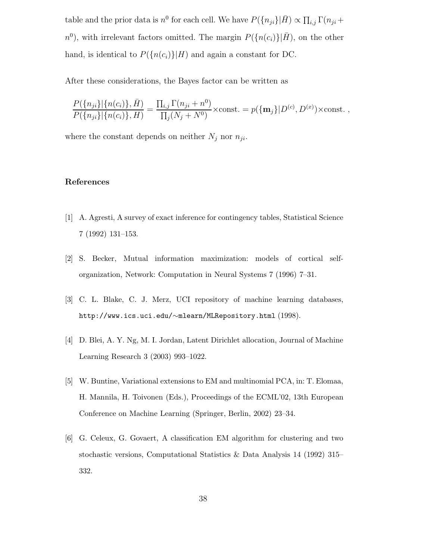table and the prior data is  $n^0$  for each cell. We have  $P({n_{ji}}|\bar{H}) \propto \prod_{i,j} \Gamma(n_{ji} +$  $n^0$ ), with irrelevant factors omitted. The margin  $P(\lbrace n(c_i)\rbrace | \bar{H})$ , on the other hand, is identical to  $P({n(c_i)}|H)$  and again a constant for DC.

After these considerations, the Bayes factor can be written as

$$
\frac{P(\{n_{ji}\}|\{n(c_i)\},\bar{H})}{P(\{n_{ji}\}|\{n(c_i)\},H)} = \frac{\prod_{i,j}\Gamma(n_{ji}+n^0)}{\prod_j(N_j+N^0)}\times \text{const.} = p(\{\mathbf{m}_j\}|D^{(c)},D^{(x)})\times \text{const.},
$$

where the constant depends on neither  $N_j$  nor  $n_{ji}$ .

## References

- [1] A. Agresti, A survey of exact inference for contingency tables, Statistical Science 7 (1992) 131–153.
- [2] S. Becker, Mutual information maximization: models of cortical selforganization, Network: Computation in Neural Systems 7 (1996) 7–31.
- [3] C. L. Blake, C. J. Merz, UCI repository of machine learning databases, http://www.ics.uci.edu/∼mlearn/MLRepository.html (1998).
- [4] D. Blei, A. Y. Ng, M. I. Jordan, Latent Dirichlet allocation, Journal of Machine Learning Research 3 (2003) 993–1022.
- [5] W. Buntine, Variational extensions to EM and multinomial PCA, in: T. Elomaa, H. Mannila, H. Toivonen (Eds.), Proceedings of the ECML'02, 13th European Conference on Machine Learning (Springer, Berlin, 2002) 23–34.
- [6] G. Celeux, G. Govaert, A classification EM algorithm for clustering and two stochastic versions, Computational Statistics & Data Analysis 14 (1992) 315– 332.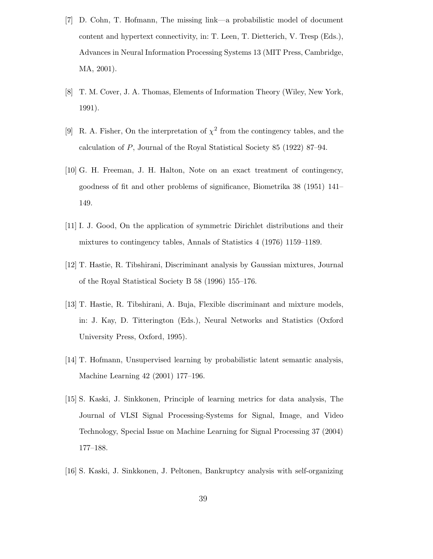- [7] D. Cohn, T. Hofmann, The missing link—a probabilistic model of document content and hypertext connectivity, in: T. Leen, T. Dietterich, V. Tresp (Eds.), Advances in Neural Information Processing Systems 13 (MIT Press, Cambridge, MA, 2001).
- [8] T. M. Cover, J. A. Thomas, Elements of Information Theory (Wiley, New York, 1991).
- [9] R. A. Fisher, On the interpretation of  $\chi^2$  from the contingency tables, and the calculation of P, Journal of the Royal Statistical Society 85 (1922) 87–94.
- [10] G. H. Freeman, J. H. Halton, Note on an exact treatment of contingency, goodness of fit and other problems of significance, Biometrika 38 (1951) 141– 149.
- [11] I. J. Good, On the application of symmetric Dirichlet distributions and their mixtures to contingency tables, Annals of Statistics 4 (1976) 1159–1189.
- [12] T. Hastie, R. Tibshirani, Discriminant analysis by Gaussian mixtures, Journal of the Royal Statistical Society B 58 (1996) 155–176.
- [13] T. Hastie, R. Tibshirani, A. Buja, Flexible discriminant and mixture models, in: J. Kay, D. Titterington (Eds.), Neural Networks and Statistics (Oxford University Press, Oxford, 1995).
- [14] T. Hofmann, Unsupervised learning by probabilistic latent semantic analysis, Machine Learning 42 (2001) 177–196.
- [15] S. Kaski, J. Sinkkonen, Principle of learning metrics for data analysis, The Journal of VLSI Signal Processing-Systems for Signal, Image, and Video Technology, Special Issue on Machine Learning for Signal Processing 37 (2004) 177–188.
- [16] S. Kaski, J. Sinkkonen, J. Peltonen, Bankruptcy analysis with self-organizing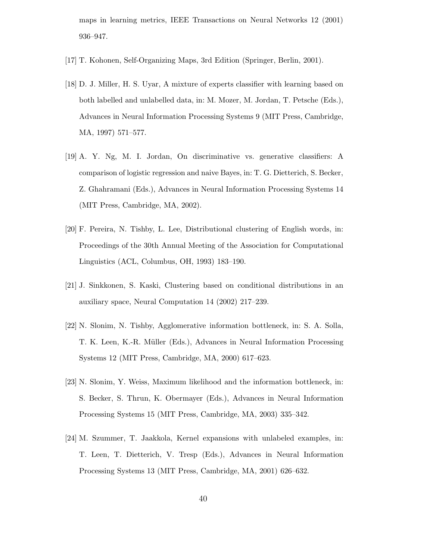maps in learning metrics, IEEE Transactions on Neural Networks 12 (2001) 936–947.

- [17] T. Kohonen, Self-Organizing Maps, 3rd Edition (Springer, Berlin, 2001).
- [18] D. J. Miller, H. S. Uyar, A mixture of experts classifier with learning based on both labelled and unlabelled data, in: M. Mozer, M. Jordan, T. Petsche (Eds.), Advances in Neural Information Processing Systems 9 (MIT Press, Cambridge, MA, 1997) 571–577.
- [19] A. Y. Ng, M. I. Jordan, On discriminative vs. generative classifiers: A comparison of logistic regression and naive Bayes, in: T. G. Dietterich, S. Becker, Z. Ghahramani (Eds.), Advances in Neural Information Processing Systems 14 (MIT Press, Cambridge, MA, 2002).
- [20] F. Pereira, N. Tishby, L. Lee, Distributional clustering of English words, in: Proceedings of the 30th Annual Meeting of the Association for Computational Linguistics (ACL, Columbus, OH, 1993) 183–190.
- [21] J. Sinkkonen, S. Kaski, Clustering based on conditional distributions in an auxiliary space, Neural Computation 14 (2002) 217–239.
- [22] N. Slonim, N. Tishby, Agglomerative information bottleneck, in: S. A. Solla, T. K. Leen, K.-R. Müller (Eds.), Advances in Neural Information Processing Systems 12 (MIT Press, Cambridge, MA, 2000) 617–623.
- [23] N. Slonim, Y. Weiss, Maximum likelihood and the information bottleneck, in: S. Becker, S. Thrun, K. Obermayer (Eds.), Advances in Neural Information Processing Systems 15 (MIT Press, Cambridge, MA, 2003) 335–342.
- [24] M. Szummer, T. Jaakkola, Kernel expansions with unlabeled examples, in: T. Leen, T. Dietterich, V. Tresp (Eds.), Advances in Neural Information Processing Systems 13 (MIT Press, Cambridge, MA, 2001) 626–632.